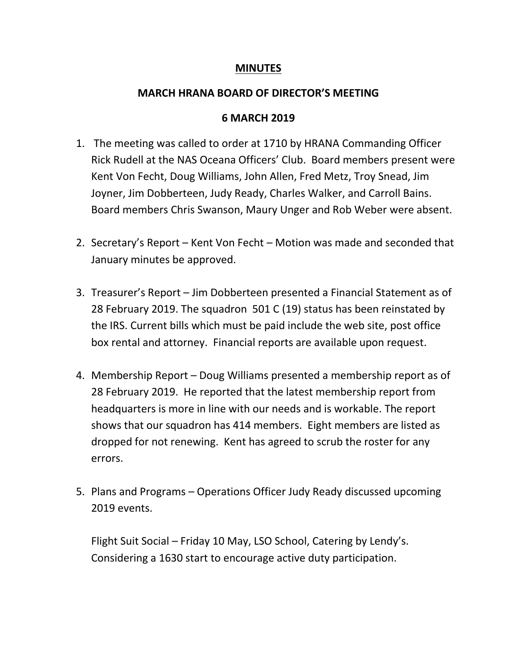## **MINUTES**

## **MARCH HRANA BOARD OF DIRECTOR'S MEETING**

## **6 MARCH 2019**

- 1. The meeting was called to order at 1710 by HRANA Commanding Officer Rick Rudell at the NAS Oceana Officers' Club. Board members present were Kent Von Fecht, Doug Williams, John Allen, Fred Metz, Troy Snead, Jim Joyner, Jim Dobberteen, Judy Ready, Charles Walker, and Carroll Bains. Board members Chris Swanson, Maury Unger and Rob Weber were absent.
- 2. Secretary's Report Kent Von Fecht Motion was made and seconded that January minutes be approved.
- 3. Treasurer's Report Jim Dobberteen presented a Financial Statement as of 28 February 2019. The squadron 501 C (19) status has been reinstated by the IRS. Current bills which must be paid include the web site, post office box rental and attorney. Financial reports are available upon request.
- 4. Membership Report Doug Williams presented a membership report as of 28 February 2019. He reported that the latest membership report from headquarters is more in line with our needs and is workable. The report shows that our squadron has 414 members. Eight members are listed as dropped for not renewing. Kent has agreed to scrub the roster for any errors.
- 5. Plans and Programs Operations Officer Judy Ready discussed upcoming 2019 events.

Flight Suit Social – Friday 10 May, LSO School, Catering by Lendy's. Considering a 1630 start to encourage active duty participation.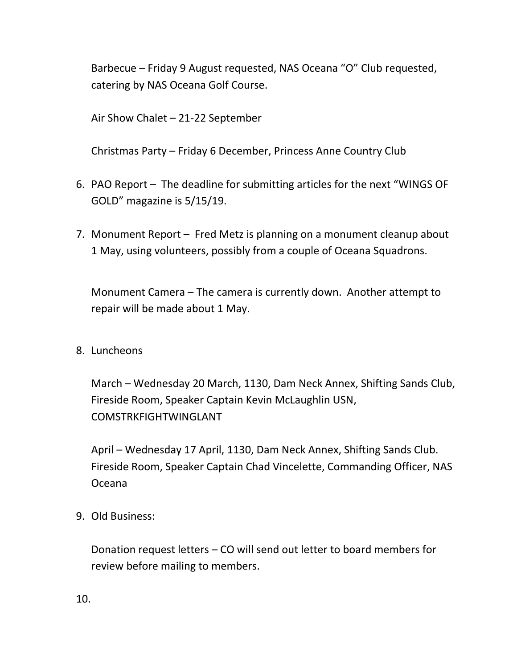Barbecue – Friday 9 August requested, NAS Oceana "O" Club requested, catering by NAS Oceana Golf Course.

Air Show Chalet – 21-22 September

Christmas Party – Friday 6 December, Princess Anne Country Club

- 6. PAO Report The deadline for submitting articles for the next "WINGS OF GOLD" magazine is 5/15/19.
- 7. Monument Report Fred Metz is planning on a monument cleanup about 1 May, using volunteers, possibly from a couple of Oceana Squadrons.

Monument Camera – The camera is currently down. Another attempt to repair will be made about 1 May.

8. Luncheons

March – Wednesday 20 March, 1130, Dam Neck Annex, Shifting Sands Club, Fireside Room, Speaker Captain Kevin McLaughlin USN, COMSTRKFIGHTWINGLANT

April – Wednesday 17 April, 1130, Dam Neck Annex, Shifting Sands Club. Fireside Room, Speaker Captain Chad Vincelette, Commanding Officer, NAS Oceana

9. Old Business:

Donation request letters – CO will send out letter to board members for review before mailing to members.